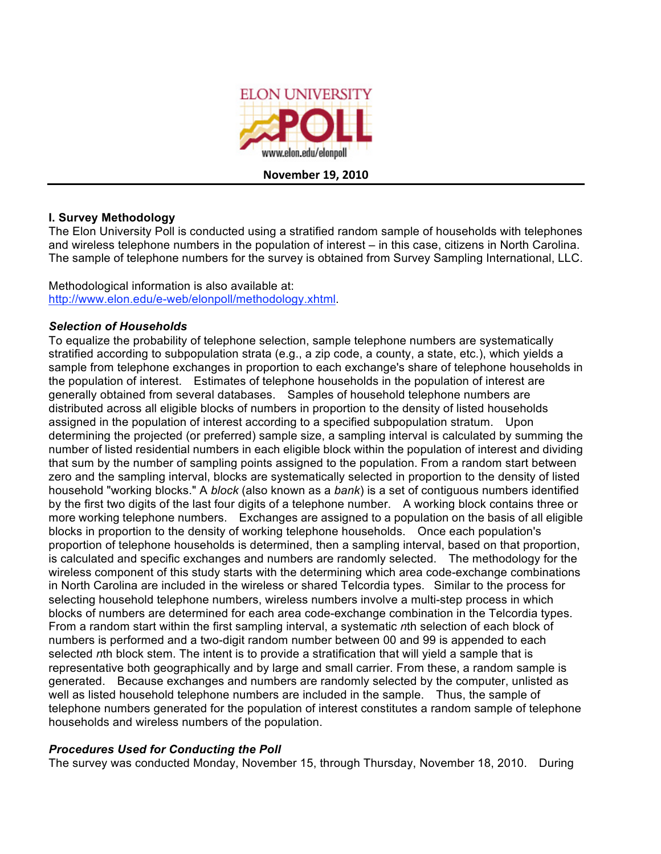

#### **November
19,
2010**

## **I. Survey Methodology**

The Elon University Poll is conducted using a stratified random sample of households with telephones and wireless telephone numbers in the population of interest – in this case, citizens in North Carolina. The sample of telephone numbers for the survey is obtained from Survey Sampling International, LLC.

Methodological information is also available at: http://www.elon.edu/e-web/elonpoll/methodology.xhtml.

## *Selection of Households*

To equalize the probability of telephone selection, sample telephone numbers are systematically stratified according to subpopulation strata (e.g., a zip code, a county, a state, etc.), which yields a sample from telephone exchanges in proportion to each exchange's share of telephone households in the population of interest. Estimates of telephone households in the population of interest are generally obtained from several databases. Samples of household telephone numbers are distributed across all eligible blocks of numbers in proportion to the density of listed households assigned in the population of interest according to a specified subpopulation stratum. Upon determining the projected (or preferred) sample size, a sampling interval is calculated by summing the number of listed residential numbers in each eligible block within the population of interest and dividing that sum by the number of sampling points assigned to the population. From a random start between zero and the sampling interval, blocks are systematically selected in proportion to the density of listed household "working blocks." A *block* (also known as a *bank*) is a set of contiguous numbers identified by the first two digits of the last four digits of a telephone number. A working block contains three or more working telephone numbers. Exchanges are assigned to a population on the basis of all eligible blocks in proportion to the density of working telephone households. Once each population's proportion of telephone households is determined, then a sampling interval, based on that proportion, is calculated and specific exchanges and numbers are randomly selected. The methodology for the wireless component of this study starts with the determining which area code-exchange combinations in North Carolina are included in the wireless or shared Telcordia types. Similar to the process for selecting household telephone numbers, wireless numbers involve a multi-step process in which blocks of numbers are determined for each area code-exchange combination in the Telcordia types. From a random start within the first sampling interval, a systematic *n*th selection of each block of numbers is performed and a two-digit random number between 00 and 99 is appended to each selected *n*th block stem. The intent is to provide a stratification that will yield a sample that is representative both geographically and by large and small carrier. From these, a random sample is generated. Because exchanges and numbers are randomly selected by the computer, unlisted as well as listed household telephone numbers are included in the sample. Thus, the sample of telephone numbers generated for the population of interest constitutes a random sample of telephone households and wireless numbers of the population.

#### *Procedures Used for Conducting the Poll*

The survey was conducted Monday, November 15, through Thursday, November 18, 2010. During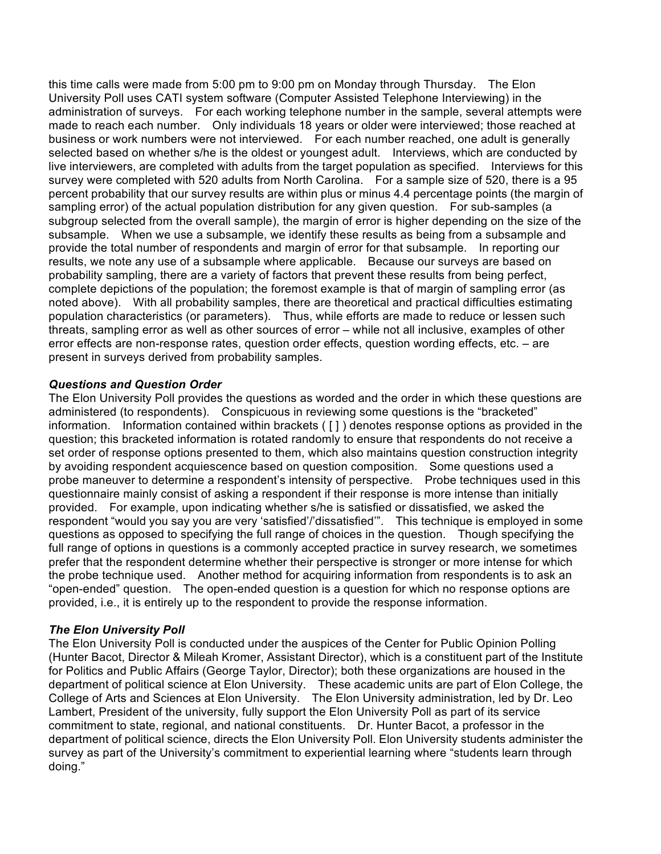this time calls were made from 5:00 pm to 9:00 pm on Monday through Thursday. The Elon University Poll uses CATI system software (Computer Assisted Telephone Interviewing) in the administration of surveys. For each working telephone number in the sample, several attempts were made to reach each number. Only individuals 18 years or older were interviewed; those reached at business or work numbers were not interviewed. For each number reached, one adult is generally selected based on whether s/he is the oldest or youngest adult. Interviews, which are conducted by live interviewers, are completed with adults from the target population as specified. Interviews for this survey were completed with 520 adults from North Carolina. For a sample size of 520, there is a 95 percent probability that our survey results are within plus or minus 4.4 percentage points (the margin of sampling error) of the actual population distribution for any given question. For sub-samples (a subgroup selected from the overall sample), the margin of error is higher depending on the size of the subsample. When we use a subsample, we identify these results as being from a subsample and provide the total number of respondents and margin of error for that subsample. In reporting our results, we note any use of a subsample where applicable. Because our surveys are based on probability sampling, there are a variety of factors that prevent these results from being perfect, complete depictions of the population; the foremost example is that of margin of sampling error (as noted above). With all probability samples, there are theoretical and practical difficulties estimating population characteristics (or parameters). Thus, while efforts are made to reduce or lessen such threats, sampling error as well as other sources of error – while not all inclusive, examples of other error effects are non-response rates, question order effects, question wording effects, etc. – are present in surveys derived from probability samples.

## *Questions and Question Order*

The Elon University Poll provides the questions as worded and the order in which these questions are administered (to respondents). Conspicuous in reviewing some questions is the "bracketed" information. Information contained within brackets ( [ ] ) denotes response options as provided in the question; this bracketed information is rotated randomly to ensure that respondents do not receive a set order of response options presented to them, which also maintains question construction integrity by avoiding respondent acquiescence based on question composition. Some questions used a probe maneuver to determine a respondent's intensity of perspective. Probe techniques used in this questionnaire mainly consist of asking a respondent if their response is more intense than initially provided. For example, upon indicating whether s/he is satisfied or dissatisfied, we asked the respondent "would you say you are very 'satisfied'/'dissatisfied'". This technique is employed in some questions as opposed to specifying the full range of choices in the question. Though specifying the full range of options in questions is a commonly accepted practice in survey research, we sometimes prefer that the respondent determine whether their perspective is stronger or more intense for which the probe technique used. Another method for acquiring information from respondents is to ask an "open-ended" question. The open-ended question is a question for which no response options are provided, i.e., it is entirely up to the respondent to provide the response information.

# *The Elon University Poll*

The Elon University Poll is conducted under the auspices of the Center for Public Opinion Polling (Hunter Bacot, Director & Mileah Kromer, Assistant Director), which is a constituent part of the Institute for Politics and Public Affairs (George Taylor, Director); both these organizations are housed in the department of political science at Elon University. These academic units are part of Elon College, the College of Arts and Sciences at Elon University. The Elon University administration, led by Dr. Leo Lambert, President of the university, fully support the Elon University Poll as part of its service commitment to state, regional, and national constituents. Dr. Hunter Bacot, a professor in the department of political science, directs the Elon University Poll. Elon University students administer the survey as part of the University's commitment to experiential learning where "students learn through doing."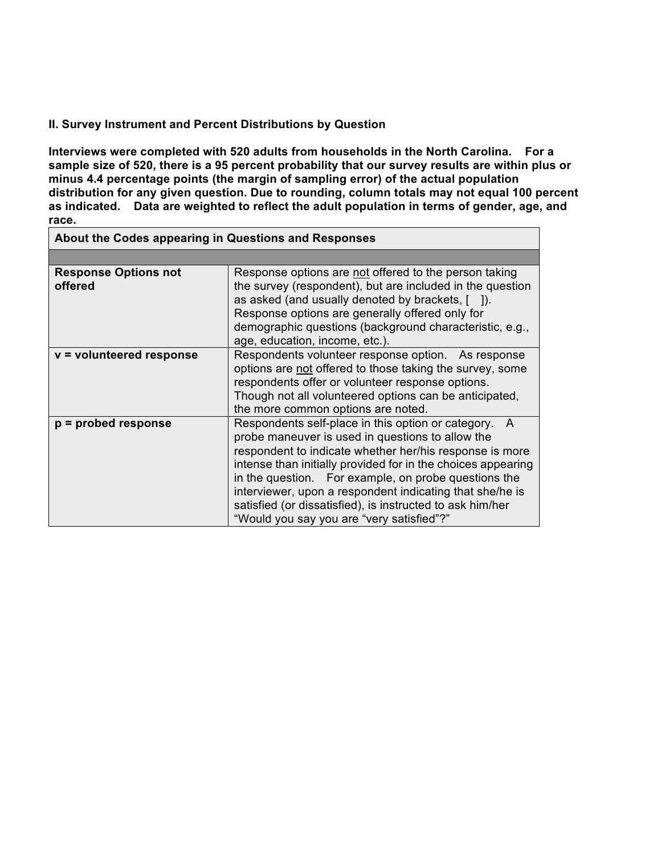## **II. Survey Instrument and Percent Distributions by Question**

**Interviews were completed with 520 adults from households in the North Carolina. For a sample size of 520, there is a 95 percent probability that our survey results are within plus or minus 4.4 percentage points (the margin of sampling error) of the actual population distribution for any given question. Due to rounding, column totals may not equal 100 percent as indicated. Data are weighted to reflect the adult population in terms of gender, age, and race.**

| About the Codes appearing in Questions and Responses |                                                                                                                                                                                                                                                                                                                                                                                                                                                                   |  |  |
|------------------------------------------------------|-------------------------------------------------------------------------------------------------------------------------------------------------------------------------------------------------------------------------------------------------------------------------------------------------------------------------------------------------------------------------------------------------------------------------------------------------------------------|--|--|
|                                                      |                                                                                                                                                                                                                                                                                                                                                                                                                                                                   |  |  |
| <b>Response Options not</b><br>offered               | Response options are not offered to the person taking<br>the survey (respondent), but are included in the question<br>as asked (and usually denoted by brackets, $\lceil \quad \rceil$ ).<br>Response options are generally offered only for<br>demographic questions (background characteristic, e.g.,<br>age, education, income, etc.).                                                                                                                         |  |  |
| v = volunteered response                             | Respondents volunteer response option. As response<br>options are not offered to those taking the survey, some<br>respondents offer or volunteer response options.<br>Though not all volunteered options can be anticipated,<br>the more common options are noted.                                                                                                                                                                                                |  |  |
| $p =$ probed response                                | Respondents self-place in this option or category. A<br>probe maneuver is used in questions to allow the<br>respondent to indicate whether her/his response is more<br>intense than initially provided for in the choices appearing<br>in the question. For example, on probe questions the<br>interviewer, upon a respondent indicating that she/he is<br>satisfied (or dissatisfied), is instructed to ask him/her<br>"Would you say you are "very satisfied"?" |  |  |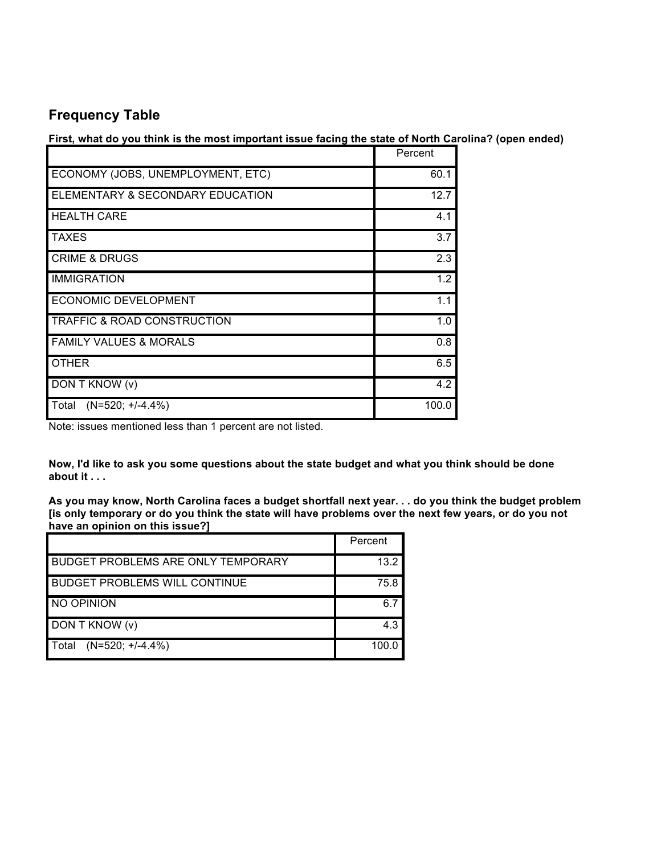# **Frequency Table**

First, what do you think is the most important issue facing the state of North Carolina? (open ended)

|                                   | Percent |
|-----------------------------------|---------|
| ECONOMY (JOBS, UNEMPLOYMENT, ETC) | 60.1    |
| ELEMENTARY & SECONDARY EDUCATION  | 12.7    |
| <b>HEALTH CARE</b>                | 4.1     |
| <b>TAXES</b>                      | 3.7     |
| <b>CRIME &amp; DRUGS</b>          | 2.3     |
| <b>IMMIGRATION</b>                | 1.2     |
| ECONOMIC DEVELOPMENT              | 1.1     |
| TRAFFIC & ROAD CONSTRUCTION       | 1.0     |
| <b>FAMILY VALUES &amp; MORALS</b> | 0.8     |
| <b>OTHER</b>                      | 6.5     |
| DON T KNOW (v)                    | 4.2     |
| Total<br>$(N=520; +/-4.4%)$       | 100.0   |

Note: issues mentioned less than 1 percent are not listed.

Now, I'd like to ask you some questions about the state budget and what you think should be done **about it . . .**

As you may know, North Carolina faces a budget shortfall next year. . . do you think the budget problem [is only temporary or do you think the state will have problems over the next few years, or do you not **have an opinion on this issue?]**

|                                           | Percent |
|-------------------------------------------|---------|
| <b>BUDGET PROBLEMS ARE ONLY TEMPORARY</b> | 13.2    |
| <b>BUDGET PROBLEMS WILL CONTINUE</b>      | 75.8    |
| NO OPINION                                | 67      |
| DON T KNOW (v)                            | 4.3     |
| $(N=520; +/-4.4%)$<br>l Total             | 100.0   |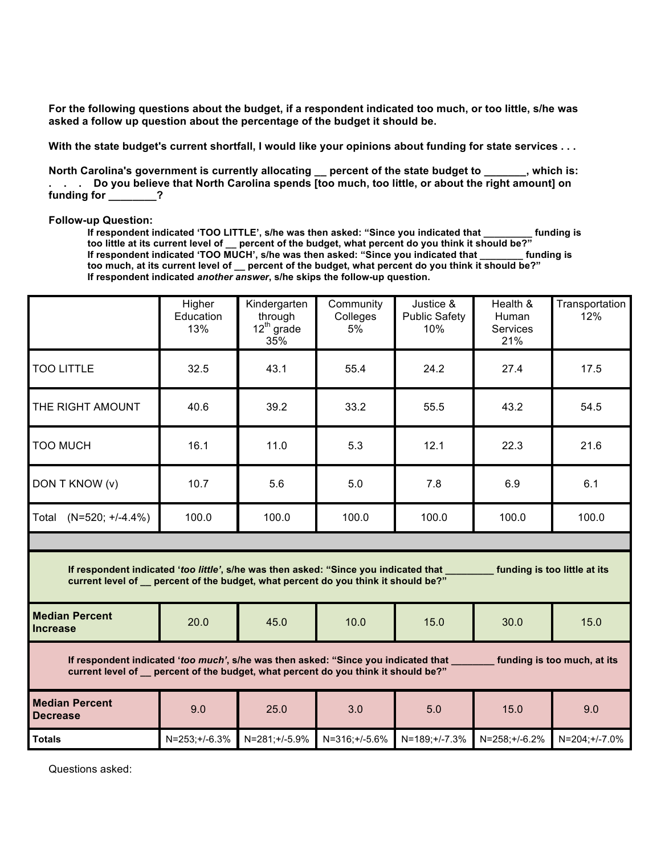For the following questions about the budget, if a respondent indicated too much, or too little, s/he was **asked a follow up question about the percentage of the budget it should be.**

With the state budget's current shortfall, I would like your opinions about funding for state services . . .

**North Carolina's government is currently allocating \_\_ percent of the state budget to \_\_\_\_\_\_\_, which is:** . . . Do you believe that North Carolina spends [too much, too little, or about the right amount] on **funding for \_\_\_\_\_\_\_\_?**

**Follow-up Question: If respondent indicated 'TOO LITTLE', s/he was then asked: "Since you indicated that \_\_\_\_\_\_\_\_\_ funding is** too little at its current level of  $\_$  percent of the budget, what percent do you think it should be?" **If respondent indicated 'TOO MUCH', s/he was then asked: "Since you indicated that \_\_\_\_\_\_\_\_ funding is** too much, at its current level of \_ percent of the budget, what percent do you think it should be?" **If respondent indicated** *another answer***, s/he skips the follow-up question.**

|                                                                                                                                                                                                            | Higher<br>Education<br>13% | Kindergarten<br>through<br>$12^{th}$ grade<br>35% | Community<br>Colleges<br>5% | Justice &<br><b>Public Safety</b><br>10% | Health &<br><b>Human</b><br><b>Services</b><br>21% | Transportation<br>12% |
|------------------------------------------------------------------------------------------------------------------------------------------------------------------------------------------------------------|----------------------------|---------------------------------------------------|-----------------------------|------------------------------------------|----------------------------------------------------|-----------------------|
| <b>TOO LITTLE</b>                                                                                                                                                                                          | 32.5                       | 43.1                                              | 55.4                        | 24.2                                     | 27.4                                               | 17.5                  |
| THE RIGHT AMOUNT                                                                                                                                                                                           | 40.6                       | 39.2                                              | 33.2                        | 55.5                                     | 43.2                                               | 54.5                  |
| <b>TOO MUCH</b>                                                                                                                                                                                            | 16.1                       | 11.0                                              | 5.3                         | 12.1                                     | 22.3                                               | 21.6                  |
| DON T KNOW (v)                                                                                                                                                                                             | 10.7                       | 5.6                                               | 5.0                         | 7.8                                      | 6.9                                                | 6.1                   |
| Total<br>$(N=520; +/-4.4\%)$                                                                                                                                                                               | 100.0                      | 100.0                                             | 100.0                       | 100.0                                    | 100.0                                              | 100.0                 |
|                                                                                                                                                                                                            |                            |                                                   |                             |                                          |                                                    |                       |
| If respondent indicated 'too little', s/he was then asked: "Since you indicated that<br>funding is too little at its<br>current level of _ percent of the budget, what percent do you think it should be?" |                            |                                                   |                             |                                          |                                                    |                       |
| <b>Median Percent</b><br><b>Increase</b>                                                                                                                                                                   | 20.0                       | 45.0                                              | 10.0                        | 15.0                                     | 30.0                                               | 15.0                  |
| If respondent indicated 'too much', s/he was then asked: "Since you indicated that<br>funding is too much, at its<br>current level of _ percent of the budget, what percent do you think it should be?"    |                            |                                                   |                             |                                          |                                                    |                       |
| <b>Median Percent</b><br><b>Decrease</b>                                                                                                                                                                   | 9.0                        | 25.0                                              | 3.0                         | 5.0                                      | 15.0                                               | 9.0                   |
| <b>Totals</b>                                                                                                                                                                                              | N=253;+/-6.3%              | N=281;+/-5.9%                                     | N=316;+/-5.6%               | N=189;+/-7.3%                            | N=258;+/-6.2%                                      | N=204;+/-7.0%         |

Questions asked: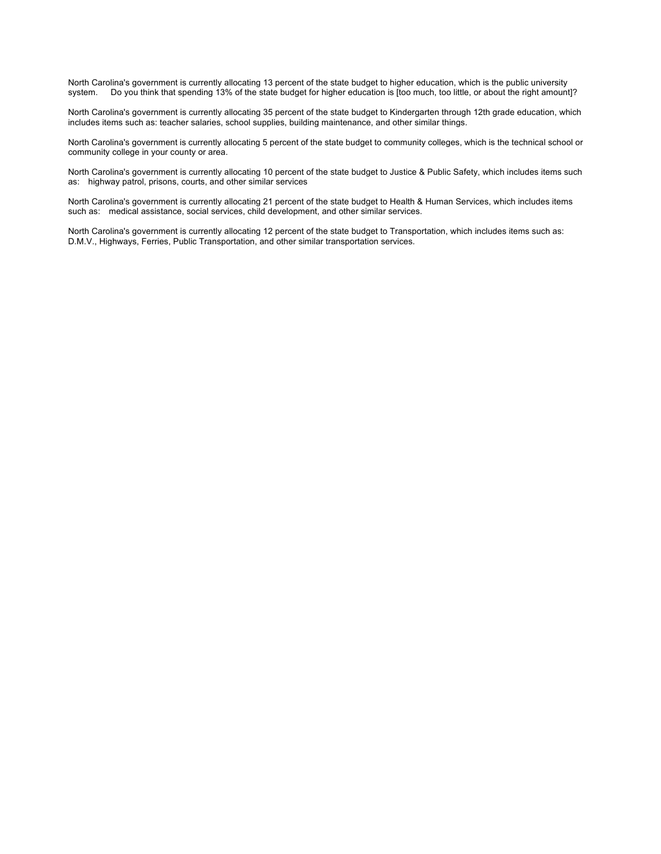North Carolina's government is currently allocating 13 percent of the state budget to higher education, which is the public university system. Do you think that spending 13% of the state budget for higher education is [too much, too little, or about the right amount]?

North Carolina's government is currently allocating 35 percent of the state budget to Kindergarten through 12th grade education, which includes items such as: teacher salaries, school supplies, building maintenance, and other similar things.

North Carolina's government is currently allocating 5 percent of the state budget to community colleges, which is the technical school or community college in your county or area.

North Carolina's government is currently allocating 10 percent of the state budget to Justice & Public Safety, which includes items such as: highway patrol, prisons, courts, and other similar services

North Carolina's government is currently allocating 21 percent of the state budget to Health & Human Services, which includes items such as: medical assistance, social services, child development, and other similar services.

North Carolina's government is currently allocating 12 percent of the state budget to Transportation, which includes items such as: D.M.V., Highways, Ferries, Public Transportation, and other similar transportation services.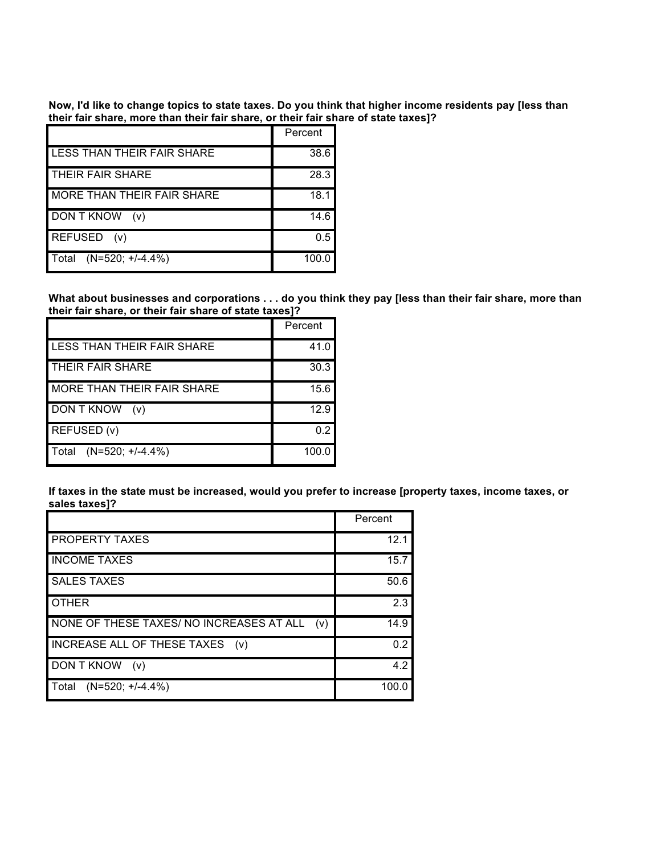Now, I'd like to change topics to state taxes. Do you think that higher income residents pay [less than **their fair share, more than their fair share, or their fair share of state taxes]?**

|                                   | Percent |
|-----------------------------------|---------|
| LESS THAN THEIR FAIR SHARE        | 38.6    |
| <b>THEIR FAIR SHARE</b>           | 28.3    |
| <b>MORE THAN THEIR FAIR SHARE</b> | 18.1    |
| <b>DON T KNOW</b><br>(v)          | 14.6    |
| <b>REFUSED</b><br>(V)             | 0.5     |
| Total<br>$(N=520; +/-4.4\%)$      | 100.0   |

What about businesses and corporations . . . do you think they pay [less than their fair share, more than **their fair share, or their fair share of state taxes]?**

|                                   | Percent |
|-----------------------------------|---------|
| LESS THAN THEIR FAIR SHARE        | 41.0    |
| <b>THEIR FAIR SHARE</b>           | 30.3    |
| <b>MORE THAN THEIR FAIR SHARE</b> | 15.6    |
| <b>DON T KNOW</b><br>(v)          | 12.9    |
| REFUSED (v)                       | 0.2     |
| $(N=520; +/-4.4%)$<br>l Total     | 100.0   |

If taxes in the state must be increased, would you prefer to increase [property taxes, income taxes, or **sales taxes]?**

|                                                 | Percent |
|-------------------------------------------------|---------|
| <b>PROPERTY TAXES</b>                           | 12.1    |
| <b>INCOME TAXES</b>                             | 15.7    |
| <b>SALES TAXES</b>                              | 50.6    |
| <b>OTHER</b>                                    | 2.3     |
| NONE OF THESE TAXES/ NO INCREASES AT ALL<br>(v) | 14.9    |
| <b>INCREASE ALL OF THESE TAXES</b><br>(v)       | 0.2     |
| <b>DON T KNOW</b><br>(v)                        | 4.2     |
| $(N=520; +/-4.4%)$<br>Total                     | 100.0   |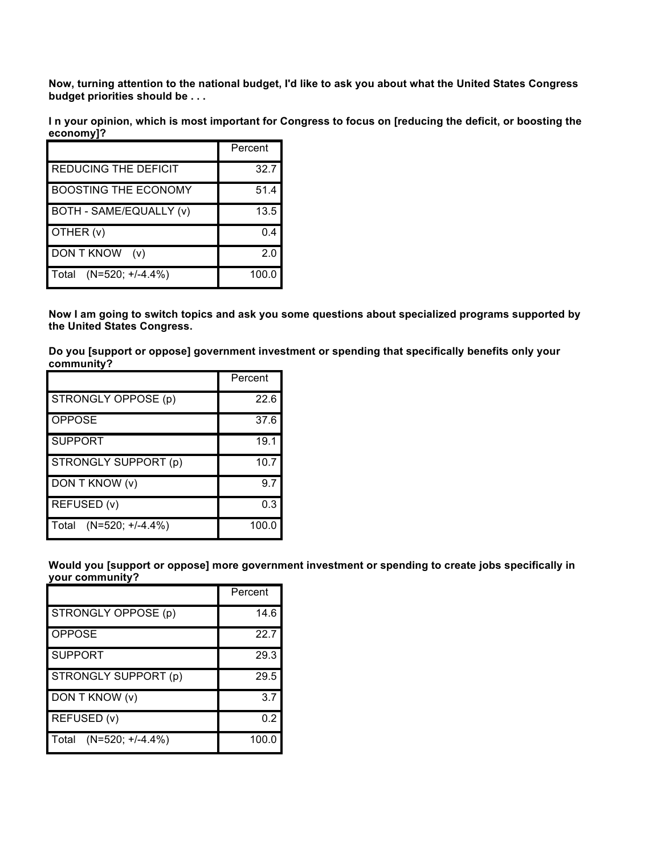Now, turning attention to the national budget, I'd like to ask you about what the United States Congress **budget priorities should be . . .**

In your opinion, which is most important for Congress to focus on [reducing the deficit, or boosting the **economy]?**

|                             | Percent |
|-----------------------------|---------|
| <b>REDUCING THE DEFICIT</b> | 32.7    |
| BOOSTING THE ECONOMY        | 51.4    |
| BOTH - SAME/EQUALLY (v)     | 13.5    |
| OTHER (v)                   | 0.4     |
| DON T KNOW<br>(v)           | 2.0     |
| $(N=520; +/-4.4%)$<br>Total | 100.0   |

**Now I am going to switch topics and ask you some questions about specialized programs supported by the United States Congress.**

**Do you [support or oppose] government investment or spending that specifically benefits only your community?**

|                               | Percent |
|-------------------------------|---------|
| STRONGLY OPPOSE (p)           | 22.6    |
| <b>OPPOSE</b>                 | 37.6    |
| <b>SUPPORT</b>                | 19.1    |
| STRONGLY SUPPORT (p)          | 10.7    |
| DON T KNOW (v)                | 9.7     |
| REFUSED (v)                   | 0.3     |
| $(N=520; +/-4.4%)$<br>l Total | 100.0   |

**Would you [support or oppose] more government investment or spending to create jobs specifically in your community?**

|                             | Percent |
|-----------------------------|---------|
| STRONGLY OPPOSE (p)         | 14.6    |
| <b>OPPOSE</b>               | 22.7    |
| <b>SUPPORT</b>              | 29.3    |
| STRONGLY SUPPORT (p)        | 29.5    |
| DON T KNOW (v)              | 3.7     |
| REFUSED (v)                 | 0.2     |
| $(N=520; +/-4.4%)$<br>Total | 100.0   |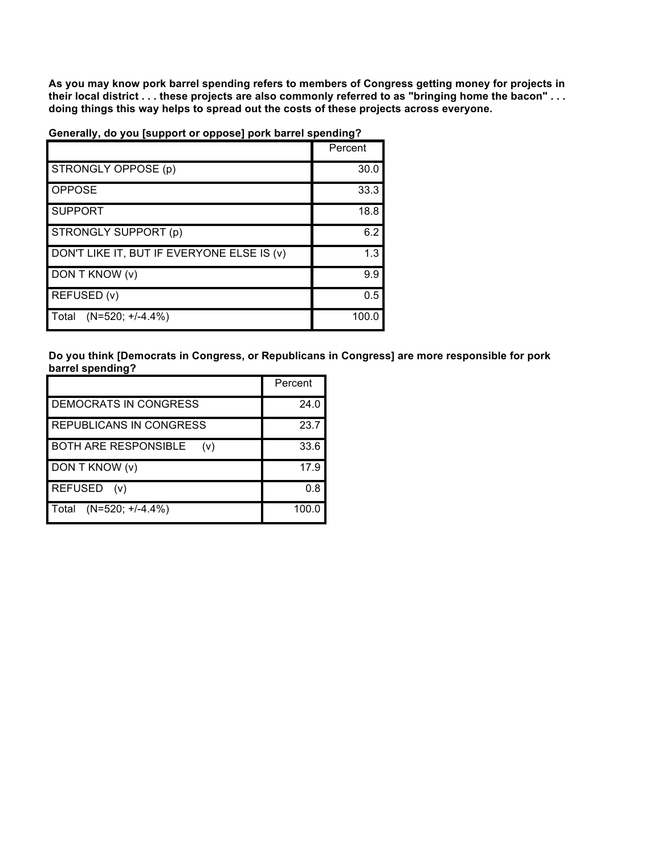**As you may know pork barrel spending refers to members of Congress getting money for projects in** their local district . . . these projects are also commonly referred to as "bringing home the bacon" . . . **doing things this way helps to spread out the costs of these projects across everyone.**

| Generally, do you [support or oppose] pork barrel spending? |
|-------------------------------------------------------------|
|-------------------------------------------------------------|

|                                            | Percent |
|--------------------------------------------|---------|
| STRONGLY OPPOSE (p)                        | 30.0    |
| <b>OPPOSE</b>                              | 33.3    |
| <b>SUPPORT</b>                             | 18.8    |
| STRONGLY SUPPORT (p)                       | 6.2     |
| DON'T LIKE IT, BUT IF EVERYONE ELSE IS (v) | 1.3     |
| DON T KNOW (v)                             | 9.9     |
| REFUSED (v)                                | 0.5     |
| l Total<br>(N=520; +/-4.4%)                | 100.0   |

**Do you think [Democrats in Congress, or Republicans in Congress] are more responsible for pork barrel spending?**

|                                    | Percent |
|------------------------------------|---------|
| DEMOCRATS IN CONGRESS              | 24.0    |
| REPUBLICANS IN CONGRESS            | 23.7    |
| <b>BOTH ARE RESPONSIBLE</b><br>(v) | 33.6    |
| DON T KNOW (v)                     | 17.9    |
| <b>REFUSED</b><br>(v)              | 0.8     |
| $(N=520; +/-4.4%)$<br>Total        | 100.0   |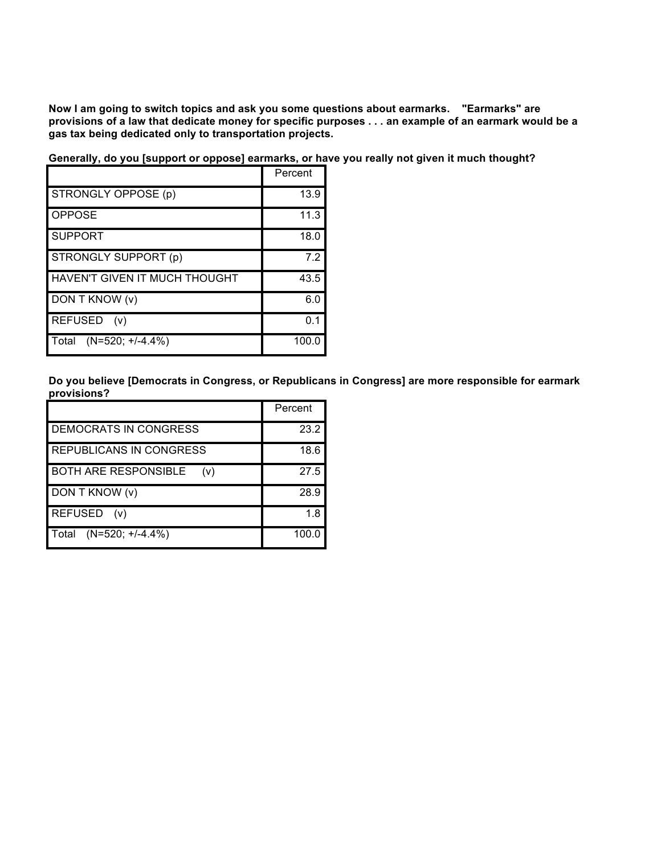**Now I am going to switch topics and ask you some questions about earmarks. "Earmarks" are** provisions of a law that dedicate money for specific purposes . . . an example of an earmark would be a **gas tax being dedicated only to transportation projects.**

**Generally, do you [support or oppose] earmarks, or have you really not given it much thought?**

|                               | Percent |
|-------------------------------|---------|
| STRONGLY OPPOSE (p)           | 13.9    |
| <b>OPPOSE</b>                 | 11.3    |
| <b>SUPPORT</b>                | 18.0    |
| STRONGLY SUPPORT (p)          | 7.2     |
| HAVEN'T GIVEN IT MUCH THOUGHT | 43.5    |
| DON T KNOW (v)                | 6.0     |
| <b>REFUSED</b><br>(V)         | 0.1     |
| $(N=520; +/-4.4%)$<br>Total   | 100.0   |

**Do you believe [Democrats in Congress, or Republicans in Congress] are more responsible for earmark provisions?**

|                                    | Percent |
|------------------------------------|---------|
| <b>DEMOCRATS IN CONGRESS</b>       | 23.2    |
| <b>REPUBLICANS IN CONGRESS</b>     | 18.6    |
| <b>BOTH ARE RESPONSIBLE</b><br>(v) | 27.5    |
| DON T KNOW (v)                     | 28.9    |
| <b>REFUSED</b><br>(v)              | 1 8     |
| l Total<br>$(N=520; +/-4.4%)$      | 100.0   |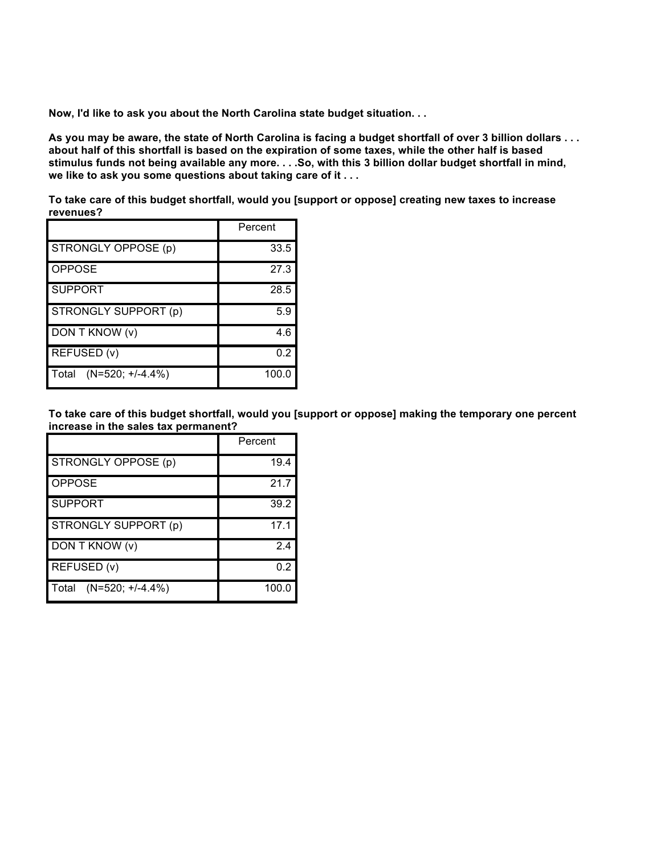**Now, I'd like to ask you about the North Carolina state budget situation. . .**

As you may be aware, the state of North Carolina is facing a budget shortfall of over 3 billion dollars . . . about half of this shortfall is based on the expiration of some taxes, while the other half is based stimulus funds not being available any more. . . . So, with this 3 billion dollar budget shortfall in mind, **we like to ask you some questions about taking care of it . . .**

**To take care of this budget shortfall, would you [support or oppose] creating new taxes to increase revenues?**

|                             | Percent |
|-----------------------------|---------|
| STRONGLY OPPOSE (p)         | 33.5    |
| <b>OPPOSE</b>               | 27.3    |
| <b>SUPPORT</b>              | 28.5    |
| STRONGLY SUPPORT (p)        | 5.9     |
| DON T KNOW (v)              | 4.6     |
| REFUSED (v)                 | 0.2     |
| $(N=520; +/-4.4%)$<br>Total | 100.0   |

**To take care of this budget shortfall, would you [support or oppose] making the temporary one percent increase in the sales tax permanent?**

|                             | Percent |
|-----------------------------|---------|
| STRONGLY OPPOSE (p)         | 19.4    |
| <b>OPPOSE</b>               | 21.7    |
| <b>SUPPORT</b>              | 39.2    |
| STRONGLY SUPPORT (p)        | 17.1    |
| DON T KNOW (v)              | 2.4     |
| REFUSED (v)                 | 0.2     |
| Total<br>$(N=520; +/-4.4%)$ | 100.0   |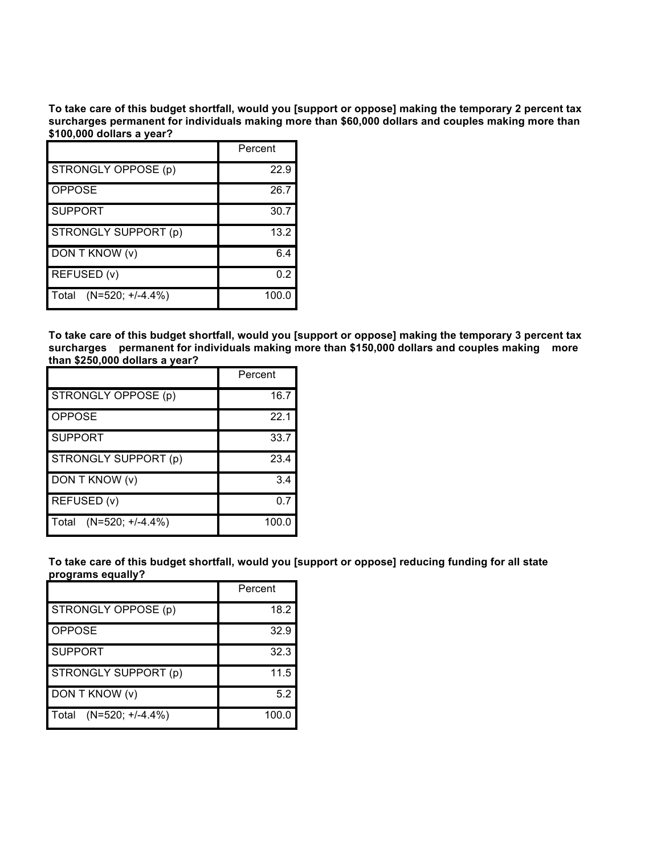To take care of this budget shortfall, would you [support or oppose] making the temporary 2 percent tax **surcharges permanent for individuals making more than \$60,000 dollars and couples making more than \$100,000 dollars a year?**

|                             | Percent |
|-----------------------------|---------|
| STRONGLY OPPOSE (p)         | 22.9    |
| <b>OPPOSE</b>               | 26.7    |
| <b>SUPPORT</b>              | 30.7    |
| STRONGLY SUPPORT (p)        | 13.2    |
| DON T KNOW (v)              | 6.4     |
| REFUSED (v)                 | 0.2     |
| $(N=520; +/-4.4%)$<br>Total | 100.0   |

To take care of this budget shortfall, would you [support or oppose] making the temporary 3 percent tax **surcharges permanent for individuals making more than \$150,000 dollars and couples making more than \$250,000 dollars a year?**

|                             | Percent |
|-----------------------------|---------|
| STRONGLY OPPOSE (p)         | 16.7    |
| <b>OPPOSE</b>               | 22.1    |
| <b>SUPPORT</b>              | 33.7    |
| STRONGLY SUPPORT (p)        | 23.4    |
| DON T KNOW (v)              | 3.4     |
| REFUSED (v)                 | 0.7     |
| Total<br>$(N=520; +/-4.4%)$ | 100.0   |

**To take care of this budget shortfall, would you [support or oppose] reducing funding for all state programs equally?**

|                             | Percent |
|-----------------------------|---------|
| STRONGLY OPPOSE (p)         | 18.2    |
| OPPOSE                      | 32.9    |
| <b>SUPPORT</b>              | 32.3    |
| STRONGLY SUPPORT (p)        | 11.5    |
| <b>DON T KNOW (v)</b>       | 5.2     |
| Total<br>$(N=520; +/-4.4%)$ | 100.0   |